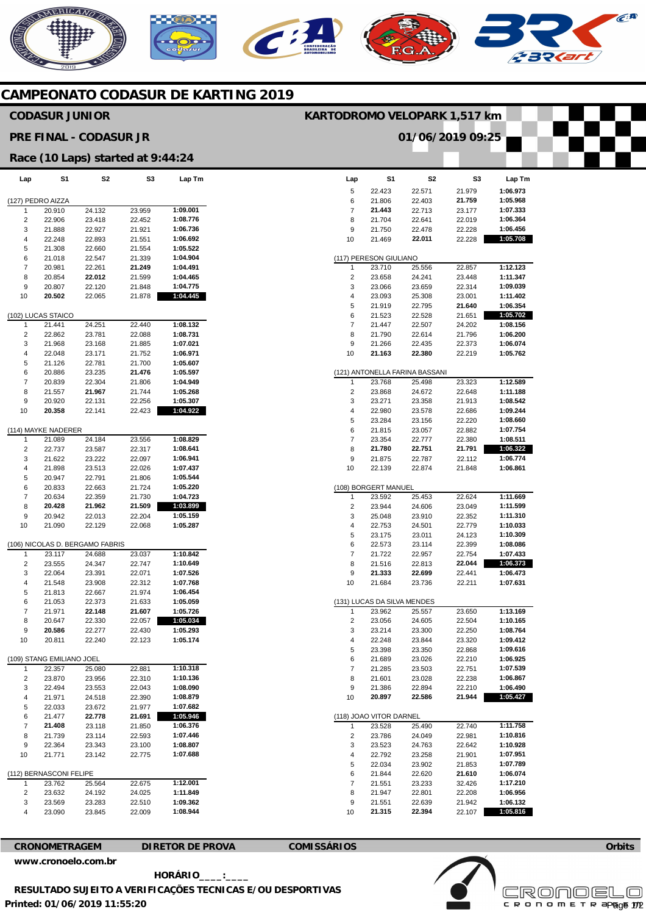# **KEHICANO**  $\widehat{C}^{\text{A}}$

# **CAMPEONATO CODASUR DE KARTING 2019**

## **CODASUR JUNIOR**

### **PRE FINAL - CODASUR JR**

## **Race (10 Laps) started at 9:44:24**

| Lap                       | S1                           | S2                              | S3               | Lap Tm               |  |
|---------------------------|------------------------------|---------------------------------|------------------|----------------------|--|
|                           |                              |                                 |                  |                      |  |
|                           | (127) PEDRO AIZZA            |                                 |                  |                      |  |
| 1                         | 20.910                       | 24.132                          | 23.959           | 1:09.001             |  |
| 2                         | 22.906<br>21.888             | 23.418<br>22.927                | 22.452           | 1:08.776             |  |
| 3<br>4                    | 22.248                       | 22.893                          | 21.921<br>21.551 | 1:06.736<br>1:06.692 |  |
| 5                         | 21.308                       | 22.660                          | 21.554           | 1:05.522             |  |
| 6                         | 21.018                       | 22.547                          | 21.339           | 1:04.904             |  |
| 7                         | 20.981                       | 22.261                          | 21.249           | 1:04.491             |  |
| 8                         | 20.854                       | 22.012                          | 21.599           | 1:04.465             |  |
| 9                         | 20.807                       | 22.120                          | 21.848           | 1:04.775             |  |
| 10                        | 20.502                       | 22.065                          | 21.878           | 1:04.445             |  |
|                           |                              |                                 |                  |                      |  |
| 1                         | (102) LUCAS STAICO<br>21.441 | 24.251                          | 22.440           | 1:08.132             |  |
| 2                         | 22.862                       | 23.781                          | 22.088           | 1:08.731             |  |
| 3                         | 21.968                       | 23.168                          | 21.885           | 1:07.021             |  |
| 4                         | 22.048                       | 23.171                          | 21.752           | 1:06.971             |  |
| 5                         | 21.126                       | 22.781                          | 21.700           | 1:05.607             |  |
| 6                         | 20.886                       | 23.235                          | 21.476           | 1:05.597             |  |
| 7                         | 20.839                       | 22.304                          | 21.806           | 1:04.949             |  |
| 8                         | 21.557                       | 21.967                          | 21.744           | 1:05.268             |  |
| 9                         | 20.920                       | 22.131                          | 22.256           | 1:05.307             |  |
| 10                        | 20.358                       | 22.141                          | 22.423           | 1:04.922             |  |
|                           | (114) MAYKE NADERER          |                                 |                  |                      |  |
| 1                         | 21.089                       | 24.184                          | 23.556           | 1:08.829             |  |
| 2                         | 22.737                       | 23.587                          | 22.317           | 1:08.641             |  |
| 3                         | 21.622                       | 23.222                          | 22.097           | 1:06.941             |  |
| 4                         | 21.898                       | 23.513                          | 22.026           | 1:07.437             |  |
| 5                         | 20.947                       | 22.791                          | 21.806           | 1:05.544             |  |
| 6                         | 20.833                       | 22.663                          | 21.724           | 1:05.220             |  |
| 7                         | 20.634                       | 22.359                          | 21.730           | 1:04.723             |  |
| 8                         | 20.428                       | 21.962                          | 21.509           | 1:03.899             |  |
| 9                         | 20.942                       | 22.013                          | 22.204           | 1:05.159             |  |
| 10                        | 21.090                       | 22.129                          | 22.068           | 1:05.287             |  |
|                           |                              | (106) NICOLAS D. BERGAMO FABRIS |                  |                      |  |
| 1                         | 23.117                       | 24.688                          | 23.037           | 1:10.842             |  |
| 2                         | 23.555                       | 24.347                          | 22.747           | 1:10.649             |  |
| 3                         | 22.064                       | 23.391                          | 22.071           | 1:07.526             |  |
| 4                         | 21.548                       | 23.908                          | 22.312           | 1:07.768             |  |
| 5                         | 21.813                       | 22.667                          | 21.974           | 1:06.454             |  |
| 6                         | 21.053                       | 22.373                          | 21.633           | 1:05.059             |  |
| 7                         | 21.971                       | 22.148                          | 21.607           | 1:05.726             |  |
| 8                         | 20.647                       | 22.330                          | 22.057           | 1:05.034             |  |
| 9                         | 20.586                       | 22.277                          | 22.430           | 1:05.293             |  |
| 10                        | 20.811                       | 22.240                          | 22.123           | 1:05.174             |  |
| (109) STANG EMILIANO JOEI |                              |                                 |                  |                      |  |
| 1                         | 22.357                       | 25.080                          | 22.881           | 1:10.318             |  |
| 2                         | 23.870                       | 23.956                          | 22.310           | 1:10.136             |  |
| 3                         | 22.494                       | 23.553                          | 22.043           | 1:08.090             |  |
| 4                         | 21.971                       | 24.518                          | 22.390           | 1:08.879             |  |
| 5                         | 22.033                       | 23.672                          | 21.977           | 1:07.682             |  |
| 6<br>7                    | 21.477                       | 22.778                          | 21.691           | 1:05.946             |  |
|                           | 21.408                       | 23.118<br>23.114                | 21.850           | 1:06.376<br>1:07.446 |  |
| 8<br>9                    | 21.739<br>22.364             | 23.343                          | 22.593<br>23.100 | 1:08.807             |  |
| 10                        | 21.771                       | 23.142                          | 22.775           | 1:07.688             |  |
|                           |                              |                                 |                  |                      |  |
|                           | (112) BERNASCONI FELIPE      |                                 |                  |                      |  |
| 1                         | 23.762                       | 25.564                          | 22.675           | 1:12.001             |  |
| 2                         | 23.632                       | 24.192                          | 24.025           | 1:11.849             |  |
| 3                         | 23.569                       | 23.283                          | 22.510           | 1:09.362             |  |
| 4                         | 23.090                       | 23.845                          | 22.009           | 1:08.944             |  |

| Lap            | S1                             | S2     | S3     | Lap Tm   |
|----------------|--------------------------------|--------|--------|----------|
| 5              | 22.423                         | 22.571 | 21.979 | 1:06.973 |
| 6              | 21.806                         | 22.403 | 21.759 | 1:05.968 |
| 7              | 21.443                         | 22.713 | 23.177 | 1:07.333 |
| 8              | 21.704                         | 22.641 | 22.019 | 1:06.364 |
| 9              | 21.750                         | 22.478 | 22.228 | 1:06.456 |
| 10             | 21.469                         | 22.011 | 22.228 | 1:05.708 |
|                |                                |        |        |          |
|                | (117) PERESON GIULIANO         |        |        |          |
| 1              | 23.710                         | 25.556 | 22.857 | 1:12.123 |
| 2              | 23.658                         | 24.241 | 23.448 | 1:11.347 |
| 3              | 23.066                         | 23.659 | 22.314 | 1:09.039 |
| 4              | 23.093                         | 25.308 | 23.001 | 1:11.402 |
| 5              | 21.919                         | 22.795 | 21.640 | 1:06.354 |
| 6              | 21.523                         | 22.528 | 21.651 | 1:05.702 |
| 7              | 21.447                         | 22.507 | 24.202 | 1:08.156 |
| 8              | 21.790                         | 22.614 | 21.796 | 1:06.200 |
| 9              | 21.266                         | 22.435 | 22.373 | 1:06.074 |
| 10             | 21.163                         | 22.380 | 22.219 | 1:05.762 |
|                |                                |        |        |          |
|                | (121) ANTONELLA FARINA BASSANI |        |        |          |
| 1              | 23.768                         | 25.498 | 23.323 | 1:12.589 |
| 2              | 23.868                         | 24.672 | 22.648 | 1:11.188 |
| 3              | 23.271                         | 23.358 | 21.913 | 1:08.542 |
| 4              | 22.980                         | 23.578 | 22.686 | 1:09.244 |
| 5              | 23.284                         | 23.156 | 22.220 | 1:08.660 |
| 6              | 21.815                         | 23.057 | 22.882 | 1:07.754 |
| 7              | 23.354                         | 22.777 | 22.380 | 1:08.511 |
| 8              | 21.780                         | 22.751 | 21.791 | 1:06.322 |
| 9              | 21.875                         | 22.787 | 22.112 | 1:06.774 |
| 10             | 22.139                         | 22.874 | 21.848 | 1:06.861 |
|                |                                |        |        |          |
|                | (108) BORGERT MANUEL           |        |        |          |
| 1              | 23.592                         | 25.453 | 22.624 | 1:11.669 |
| 2              | 23.944                         | 24.606 | 23.049 | 1:11.599 |
| 3              | 25.048                         | 23.910 | 22.352 | 1:11.310 |
| 4              | 22.753                         | 24.501 | 22.779 | 1:10.033 |
| 5              | 23.175                         | 23.011 | 24.123 | 1:10.309 |
| 6              | 22.573                         | 23.114 | 22.399 | 1:08.086 |
| 7              | 21.722                         | 22.957 | 22.754 | 1:07.433 |
| 8              | 21.516                         | 22.813 | 22.044 | 1:06.373 |
| 9              | 21.333                         | 22.699 | 22.441 | 1:06.473 |
| 10             | 21.684                         | 23.736 | 22.211 | 1:07.631 |
|                |                                |        |        |          |
|                | (131) LUCAS DA SILVA MENDES    |        |        |          |
| 1              | 23.962                         | 25.557 | 23.650 | 1:13.169 |
| $\overline{c}$ | 23.056                         | 24.605 | 22.504 | 1:10.165 |
| 3              | 23.214                         | 23.300 | 22.250 | 1:08.764 |
| 4              | 22.248                         | 23.844 | 23.320 | 1:09.412 |
| 5              | 23.398                         | 23.350 | 22.868 | 1:09.616 |
| 6              | 21.689                         | 23.026 | 22.210 | 1:06.925 |
| 7              | 21.285                         | 23.503 | 22.751 | 1:07.539 |
| 8              | 21.601                         | 23.028 | 22.238 | 1:06.867 |
| 9              | 21.386                         | 22.894 | 22.210 | 1:06.490 |
| 10             | 20.897                         | 22.586 | 21.944 | 1:05.427 |
|                |                                |        |        |          |
|                | (118) JOAO VITOR DARNEL        |        |        |          |
| 1              | 23.528                         | 25.490 | 22.740 | 1:11.758 |
| 2              | 23.786                         | 24.049 | 22.981 | 1:10.816 |
| 3              | 23.523                         | 24.763 | 22.642 | 1:10.928 |
| 4              | 22.792                         | 23.258 | 21.901 | 1:07.951 |
| 5              | 22.034                         | 23.902 | 21.853 | 1:07.789 |
| 6              | 21.844                         | 22.620 | 21.610 | 1:06.074 |
| 7              | 21.551                         | 23.233 | 32.426 | 1:17.210 |
| 8              | 21.947                         | 22.801 | 22.208 | 1:06.956 |
| 9              | 21.551                         | 22.639 | 21.942 | 1:06.132 |
| 10             | 21.315                         | 22.394 | 22.107 | 1:05.816 |

**KARTODROMO VELOPARK 1,517 km** 

**01/06/2019 09:25** 

**CRONOMETRAGEM DIRETOR DE PROVA COMISSÁRIOS [www.cronoelo.com.br](http://www.cronoelo.com.br)** 



22.107 **1:05.816** 

**Printed: 01/06/2019 11:55:20 HORÁRIO\_\_\_\_:\_\_\_\_ RESULTADO SUJEITO A VERIFICAÇÕES TECNICAS E/OU DESPORTIVAS**